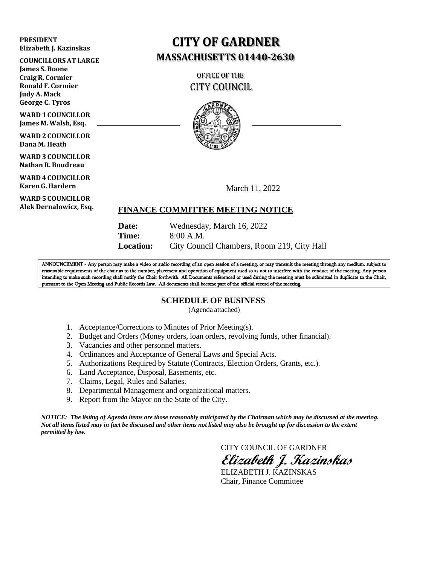#### **PRESIDENT Elizabeth J. Kazinskas**

**COUNCILLORSAT LARGE**

**James S. Boone Craig R. Cormier Ronald F. Cormier Judy A. Mack George C. Tyros**

**WARD 1 COUNCILLOR James M. Walsh, Esq.**

**WARD 2 COUNCILLOR Dana M. Heath**

**WARD 3 COUNCILLOR Nathan R. Boudreau**

**WARD 4 COUNCILLOR Karen G. Hardern**

u **WARD 5 COUNCILLOR Alek Dernalowicz, Esq.**

# **CITY OF GARDNER MASSACHUSETTS 01440-2630**

OFFICE OF THE CITY COUNCIL



March 11, 2022

## **FINANCE COMMITTEE MEETING NOTICE**

**Date:** Wednesday, March 16, 2022 **Time:** 8:00 A.M. **Location:** City Council Chambers, Room 219, City Hall

ANNOUNCEMENT - Any person may make a video or audio recording of an open session of a meeting, or may transmit the meeting through any medium, subject to reasonable requirements of the chair as to the number, placement and operation of equipment used so as not to interfere with the conduct of the meeting. Any person intending to make such recording shall notify the Chair forthwith. All Documents referenced or used during the meeting must be submitted in duplicate to the Chair, pursuant to the Open Meeting and Public Records Law. All documents shall become part of the official record of the meeting.

## **SCHEDULE OF BUSINESS**

(Agenda attached)

- 1. Acceptance/Corrections to Minutes of Prior Meeting(s).
- 2. Budget and Orders (Money orders, loan orders, revolving funds, other financial).
- 3. Vacancies and other personnel matters.
- 4. Ordinances and Acceptance of General Laws and Special Acts.
- 5. Authorizations Required by Statute (Contracts, Election Orders, Grants, etc.).
- 6. Land Acceptance, Disposal, Easements, etc.
- 7. Claims, Legal, Rules and Salaries.
- 8. Departmental Management and organizational matters.
- 9. Report from the Mayor on the State of the City.

*NOTICE: The listing of Agenda items are those reasonably anticipated by the Chairman which may be discussed at the meeting.* Not all items listed may in fact be discussed and other items not listed may also be brought up for discussion to the extent *permitted by law.*

CITY COUNCIL OF GARDNER

**Elizabeth J. Kazinskas**

ELIZABETH J. KAZINSKAS Chair, Finance Committee